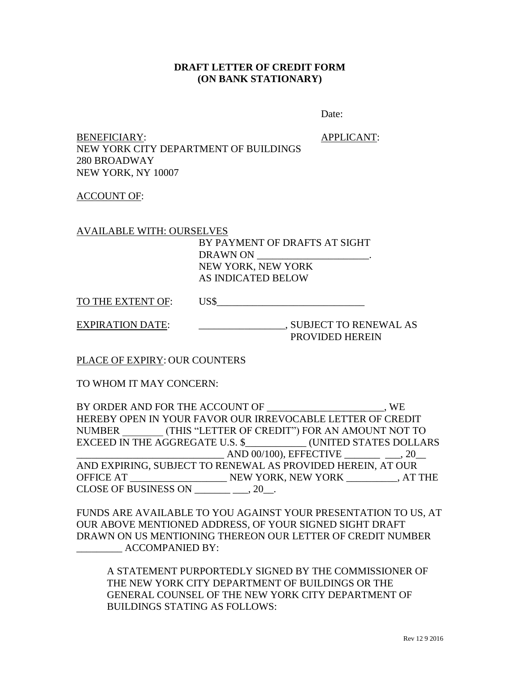## **DRAFT LETTER OF CREDIT FORM (ON BANK STATIONARY)**

Date:

BENEFICIARY: APPLICANT: NEW YORK CITY DEPARTMENT OF BUILDINGS 280 BROADWAY NEW YORK, NY 10007

ACCOUNT OF:

AVAILABLE WITH: OURSELVES

BY PAYMENT OF DRAFTS AT SIGHT DRAWN ON NEW YORK, NEW YORK AS INDICATED BELOW

TO THE EXTENT OF: US\$

EXPIRATION DATE: \_\_\_\_\_\_\_\_\_\_\_\_\_\_\_\_\_\_\_\_\_\_, SUBJECT TO RENEWAL AS

PROVIDED HEREIN

PLACE OF EXPIRY: OUR COUNTERS

TO WHOM IT MAY CONCERN:

BY ORDER AND FOR THE ACCOUNT OF TWO STATES AND SUMPLY ASSESSED. HEREBY OPEN IN YOUR FAVOR OUR IRREVOCABLE LETTER OF CREDIT NUMBER \_\_\_\_\_\_\_\_ (THIS "LETTER OF CREDIT") FOR AN AMOUNT NOT TO EXCEED IN THE AGGREGATE U.S. \$\_\_\_\_\_\_\_\_\_\_\_\_ (UNITED STATES DOLLARS \_\_\_\_\_\_\_\_\_\_\_\_\_\_\_\_\_\_\_\_\_\_\_\_\_\_\_\_\_ AND 00/100), EFFECTIVE \_\_\_\_\_\_\_ \_\_\_, 20\_\_ AND EXPIRING, SUBJECT TO RENEWAL AS PROVIDED HEREIN, AT OUR OFFICE AT \_\_\_\_\_\_\_\_\_\_\_\_\_\_\_\_\_\_\_ NEW YORK, NEW YORK \_\_\_\_\_\_\_\_\_\_, AT THE CLOSE OF BUSINESS ON  $\_\_\_\_\_\_\_\_\_\_\_\,.$  20 $\_\_\_\$ .

FUNDS ARE AVAILABLE TO YOU AGAINST YOUR PRESENTATION TO US, AT OUR ABOVE MENTIONED ADDRESS, OF YOUR SIGNED SIGHT DRAFT DRAWN ON US MENTIONING THEREON OUR LETTER OF CREDIT NUMBER ACCOMPANIED BY:

A STATEMENT PURPORTEDLY SIGNED BY THE COMMISSIONER OF THE NEW YORK CITY DEPARTMENT OF BUILDINGS OR THE GENERAL COUNSEL OF THE NEW YORK CITY DEPARTMENT OF BUILDINGS STATING AS FOLLOWS: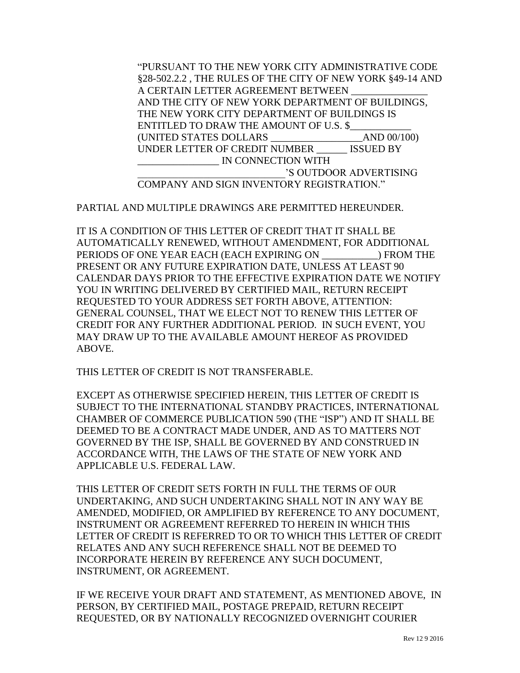"PURSUANT TO THE NEW YORK CITY ADMINISTRATIVE CODE §28-502.2.2 , THE RULES OF THE CITY OF NEW YORK §49-14 AND A CERTAIN LETTER AGREEMENT BETWEEN AND THE CITY OF NEW YORK DEPARTMENT OF BUILDINGS, THE NEW YORK CITY DEPARTMENT OF BUILDINGS IS ENTITLED TO DRAW THE AMOUNT OF U.S. \$ (UNITED STATES DOLLARS \_\_\_\_\_\_\_\_\_\_\_\_\_\_\_\_\_\_AND 00/100) UNDER LETTER OF CREDIT NUMBER \_\_\_\_\_\_ ISSUED BY \_\_\_\_\_\_\_\_\_\_\_\_\_\_\_\_ IN CONNECTION WITH \_\_\_\_\_\_\_\_\_\_\_\_\_\_\_\_\_\_\_\_\_\_\_\_\_\_\_\_\_'S OUTDOOR ADVERTISING COMPANY AND SIGN INVENTORY REGISTRATION."

PARTIAL AND MULTIPLE DRAWINGS ARE PERMITTED HEREUNDER.

IT IS A CONDITION OF THIS LETTER OF CREDIT THAT IT SHALL BE AUTOMATICALLY RENEWED, WITHOUT AMENDMENT, FOR ADDITIONAL PERIODS OF ONE YEAR EACH (EACH EXPIRING ON ) FROM THE PRESENT OR ANY FUTURE EXPIRATION DATE, UNLESS AT LEAST 90 CALENDAR DAYS PRIOR TO THE EFFECTIVE EXPIRATION DATE WE NOTIFY YOU IN WRITING DELIVERED BY CERTIFIED MAIL, RETURN RECEIPT REQUESTED TO YOUR ADDRESS SET FORTH ABOVE, ATTENTION: GENERAL COUNSEL, THAT WE ELECT NOT TO RENEW THIS LETTER OF CREDIT FOR ANY FURTHER ADDITIONAL PERIOD. IN SUCH EVENT, YOU MAY DRAW UP TO THE AVAILABLE AMOUNT HEREOF AS PROVIDED ABOVE.

THIS LETTER OF CREDIT IS NOT TRANSFERABLE.

EXCEPT AS OTHERWISE SPECIFIED HEREIN, THIS LETTER OF CREDIT IS SUBJECT TO THE INTERNATIONAL STANDBY PRACTICES, INTERNATIONAL CHAMBER OF COMMERCE PUBLICATION 590 (THE "ISP") AND IT SHALL BE DEEMED TO BE A CONTRACT MADE UNDER, AND AS TO MATTERS NOT GOVERNED BY THE ISP, SHALL BE GOVERNED BY AND CONSTRUED IN ACCORDANCE WITH, THE LAWS OF THE STATE OF NEW YORK AND APPLICABLE U.S. FEDERAL LAW.

THIS LETTER OF CREDIT SETS FORTH IN FULL THE TERMS OF OUR UNDERTAKING, AND SUCH UNDERTAKING SHALL NOT IN ANY WAY BE AMENDED, MODIFIED, OR AMPLIFIED BY REFERENCE TO ANY DOCUMENT, INSTRUMENT OR AGREEMENT REFERRED TO HEREIN IN WHICH THIS LETTER OF CREDIT IS REFERRED TO OR TO WHICH THIS LETTER OF CREDIT RELATES AND ANY SUCH REFERENCE SHALL NOT BE DEEMED TO INCORPORATE HEREIN BY REFERENCE ANY SUCH DOCUMENT, INSTRUMENT, OR AGREEMENT.

IF WE RECEIVE YOUR DRAFT AND STATEMENT, AS MENTIONED ABOVE, IN PERSON, BY CERTIFIED MAIL, POSTAGE PREPAID, RETURN RECEIPT REQUESTED, OR BY NATIONALLY RECOGNIZED OVERNIGHT COURIER